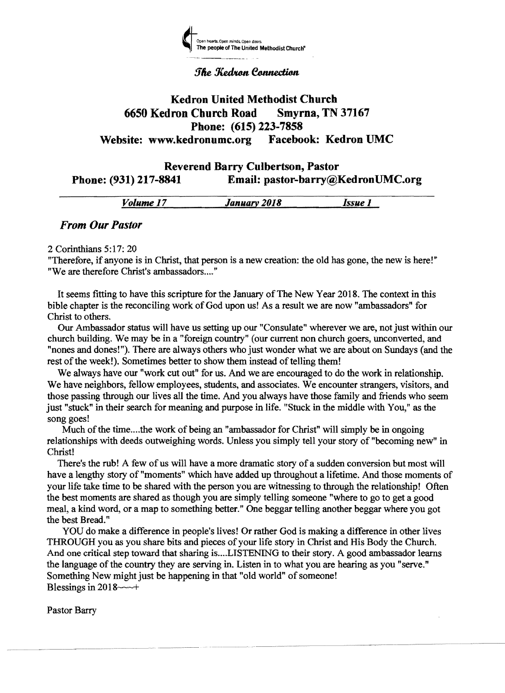

#### **The Kedron Connection**

# Kedron United Methodist Church 6650 Kedron Church Road Smyrna, TN 37167 Phone: (615) 223-7858<br>dronumc.org Facebook: Kedron UMC Website: www.kedronumc.org

# Reverend Barry Culbertson, Pastor Phone: (931) 217-8841 Email: pastor-barry@KedronUMC.org

|           | -----        | ____  |
|-----------|--------------|-------|
| Volume 17 | January 2018 | Issue |
|           |              |       |

## *From Our Pastor*

2 Corinthians 5:17: 20

"Therefore, if anyone is in Christ, that person is a new creation: the old has gone, the new is here!" "We are therefore Christ's ambassadors...."

It seems fitting to have this scripture for the January of The New Year 2018. The context in this bible chapter is the reconciling work of God upon us! As a result we are now "ambassadors" for Christ to others.

Our Ambassador status will have us setting up our "Consulate" wherever we are, not just within our church building. We may be in a "foreign country" (our current non church goers, unconverted, and "nones and dones!"). There are always others who just wonder what we are about on Sundays (and the rest of the week!). Sometimes better to show them instead of telling them!

We always have our "work cut out" for us. And we are encouraged to do the work in relationship. We have neighbors, fellow employees, students, and associates. We encounter strangers, visitors, and those passing through our lives all the time. And you always have those family and friends who seem just "stuck" in their search for meaning and purpose in life. "Stuck in the middle with You," as the song goes!

Much of the time.... the work of being an "ambassador for Christ" will simply be in ongoing relationships with deeds outweighing words. Unless you simply tell your story of "becoming new" in Christ!

There's the rub! A few of us will have a more dramatic story of a sudden conversion but most will have a lengthy story of "moments" which have added up throughout a lifetime. And those moments of your life take time to be shared with the person you are witnessing to through the relationship! Often the best moments are shared as though you are simply telling someone "where to go to get a good meal, a kind word, or a map to something better." One beggar telling another beggar where you got the best Bread."

YOU do make a difference in people's lives! Or rather God is making a difference in other lives THROUGH you as you share bits and pieces of your life story in Christ and His Body the Church. And one critical step toward that sharing is .... LISTENING to their story. A good ambassador learns the language of the country they are serving in. Listen in to what you are hearing as you "serve." Something New might just be happening in that "old world" of someone! Blessings in  $2018 \rightarrow +$ 

Pastor Barry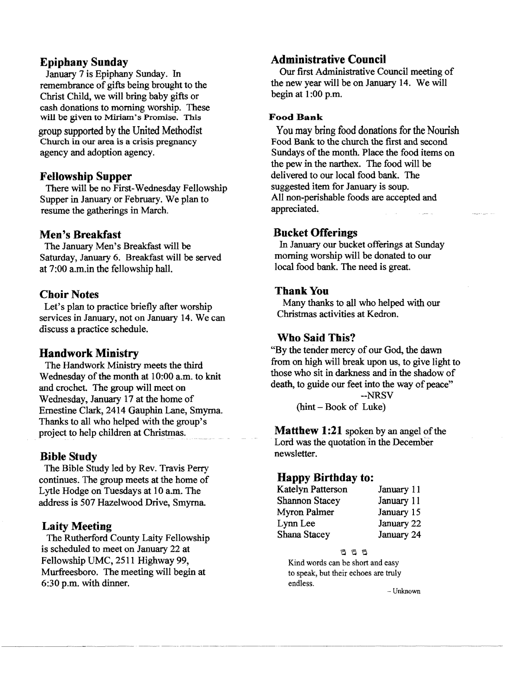#### **Epiphany Sunday**

January 7 is Epiphany Sunday. In remembrance of gifts being brought to the Christ Child, we will bring baby gifts or cash donations to morning worship. These will be given to Miriam's Promise. This group supported by the United Methodist Church in our area is a crisis pregnancy agency and adoption agency.

#### **Fellowship Supper**

There will be no First-Wednesday Fellowship Supper in January or February. We plan to resume the gatherings in March.

## **Men's Breakfast**

The January Men's Breakfast will be Saturday, January 6. Breakfast will be served at 7:00 a.m.in the fellowship hall.

## Choir Notes

Let's plan to practice briefly after worship services in January, not on January 14. We can discuss a practice schedule.

# **Handwork Ministry**

The Handwork Ministry meets the third Wednesday of the month at 10:00 a.m. to knit and crochet. The group will meet on Wednesday, January 17 at the home of Ernestine Clark, 2414 Gauphin Lane, Smyrna. Thanks to all who helped with the group's project to help children at Christmas.

# **Bible Study**

The Bible Study led by Rev. Travis Perry continues. The group meets at the home of Lytle Hodge on Tuesdays at 10 a.m. The address is 507 Hazelwood Drive, Smyrna.

# **Laity Meeting**

The Rutherford County Laity Fellowship is scheduled to meet on January 22 at Fellowship UMC, 2511 Highway 99, Murfreesboro. The meeting will begin at 6:30 p.m. with dinner.

# **Administrative Council**

Our first Administrative Council meeting of the new year will be on January 14. We will begin at 1:00 p.m.

#### Food Bank

You may bring food donations for the Nourish Food Bank to the church the first and second Sundays of the month. Place the food items on the pew in the narthex. The food will be delivered to our local food bank. The suggested item for January is soup. All non-perishable foods are accepted and appreciated.

#### **Bucket Offerings**

In January our bucket offerings at Sunday morning worship will be donated to our local food bank. The need is great.

## Thank You

Many thanks to all who helped with our Christmas activities at Kedron.

# **Who Said This?**

"By the tender mercy of our God, the dawn from on high will break upon us, to give light to those who sit in darkness and in the shadow of death, to guide our feet into the way of peace"

> --NRSV (hint - Book of Luke)

**Matthew 1:21** spoken by an angel of the Lord was the quotation in the December newsletter.

#### **Happy Birthday to:**

| <b>Katelyn Patterson</b> | January 11 |
|--------------------------|------------|
| <b>Shannon Stacey</b>    | January 11 |
| Myron Palmer             | January 15 |
| Lynn Lee                 | January 22 |
| Shana Stacey             | January 24 |

 $B$  $B$  $B$ 

Kind words can be short and easy to speak, but their echoes are truly endless.

-Unknown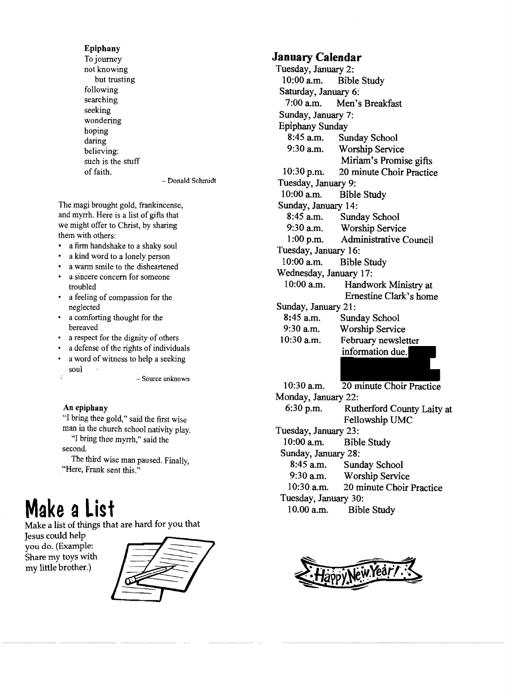#### Epiphany

To journey not knowing but trusting following searching seeking wondering hoping daring believing: such is the stuff of faith.

Donald Schmidt

The magi brought gold, frankincense, and myrrh. Here is a list of gifts that we might offer to Christ, by sharing them with others:

- a firm handshake to a shaky soul
- a kind word to a lonely person
- a warm smile to the disheartened a sincere concern for someone
- troubled • a feeling of compassion for the
- neglected
- a comforting thought for the bereaved
- a respect for the dignity of others
- a defense of the rights of individuals
- a word of witness to help a seeking soul

Source unknown

#### An epiphany

"I bring thee gold," said the first wise man in the church school nativity play. "I bring thee myrrh," said the second.

The third wise man paused. Finally, "Here, Frank sent this."

# **Make aList**

Make a list of things that are hard for you that

Jesus could help you do. (Example: Share my toys with my little brother.)



#### **January Calendar**

Tuesday, January 2:<br>10:00 a.m. Bibl Bible Study Saturday, January 6:<br>7:00 a.m. Men's Men's Breakfast Sunday, January 7: Epiphany Sunday 8:45 a.m. Sunday School<br>9:30 a.m. Worshin Servic Worship Service Miriam's Promise gifts 10:30 p.m. 20 minute Choir Practice Tuesday, January 9:<br>10:00 a.m. Bibl **Bible Study** Sunday, January 14:<br>8:45 a.m. Sund 8:45 a.m. Sunday School<br>9:30 a.m. Worship Servic 9:30 a.m. Worship Service<br>1:00 p.m. Administrative C Administrative Council Tuesday, January 16: 10:00 am. Bible Study Wednesday, January 17:<br>10:00 a.m. Handw Handwork Ministry at Ernestine Clark's home Sunday, January 21:<br> $8:45$  a.m. Sund 8:45 a.m. Sunday School<br>9:30 a.m. Worship Servic Worship Service 10:30 a.m. February newsletter information due. 10:30 a.m. 20 minute Choir Practice Monday, January 22: 6:30 p.m. Rutherford County Laity at Fellowship UMC Tuesday, January 23:<br>10:00 a.m. Bibl Bible Study

Sunday, January 28:

- 
- 8:45 a.m. Sunday School<br>9:30 a.m. Worship Servic Worship Service
- 10:30 am. 20 minute Choir Practice
- Tuesday, January 30:

10.00 a.m. Bible Study